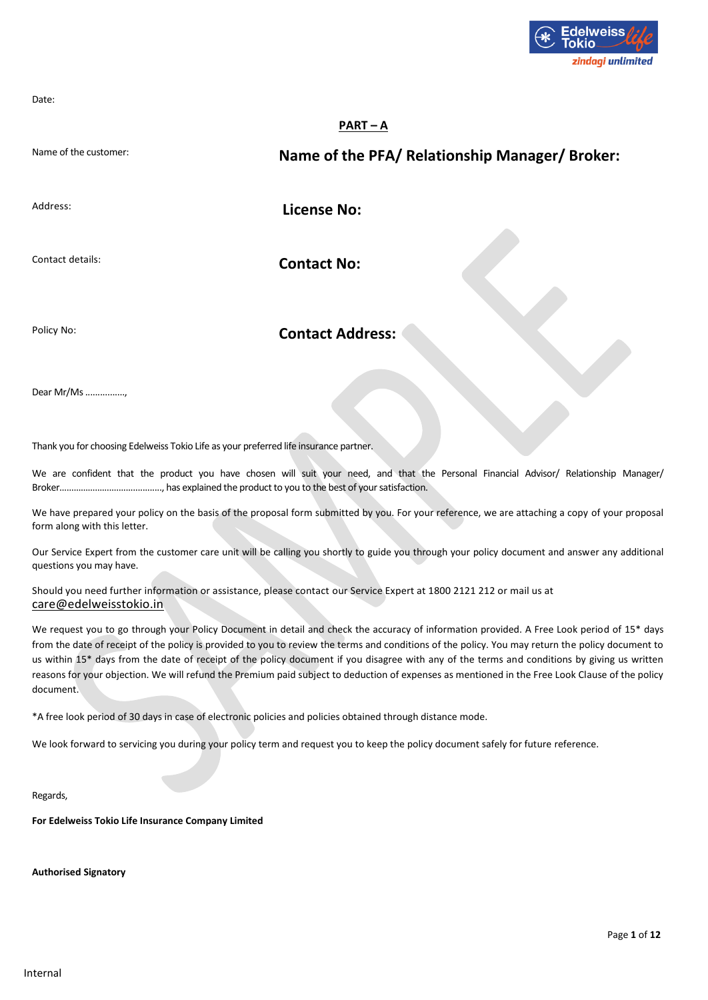

Date:

## **PART – A**

Name of the customer: **Name of the PFA/ Relationship Manager/ Broker:**

Address: **License No: License No:** 

Contact details: **Contact No:** 

Policy No: **Contact Address:** 

Dear Mr/Ms ................,

Thank you for choosing Edelweiss Tokio Life as your preferred life insurance partner.

We are confident that the product you have chosen will suit your need, and that the Personal Financial Advisor/ Relationship Manager/ Broker………………………................, has explained the product to you to the best of your satisfaction.

We have prepared your policy on the basis of the proposal form submitted by you. For your reference, we are attaching a copy of your proposal form along with this letter.

Our Service Expert from the customer care unit will be calling you shortly to guide you through your policy document and answer any additional questions you may have.

Should you need further information or assistance, please contact our Service Expert at 1800 2121 212 or mail us at [care@edelweisstokio.in](mailto:care@edelweisstokio.in)

We request you to go through your Policy Document in detail and check the accuracy of information provided. A Free Look period of 15\* days from the date of receipt of the policy is provided to you to review the terms and conditions of the policy. You may return the policy document to us within 15<sup>\*</sup> days from the date of receipt of the policy document if you disagree with any of the terms and conditions by giving us written reasons for your objection. We will refund the Premium paid subject to deduction of expenses as mentioned in the Free Look Clause of the policy document.

\*A free look period of 30 days in case of electronic policies and policies obtained through distance mode.

We look forward to servicing you during your policy term and request you to keep the policy document safely for future reference.

Regards,

**For Edelweiss Tokio Life Insurance Company Limited**

**Authorised Signatory**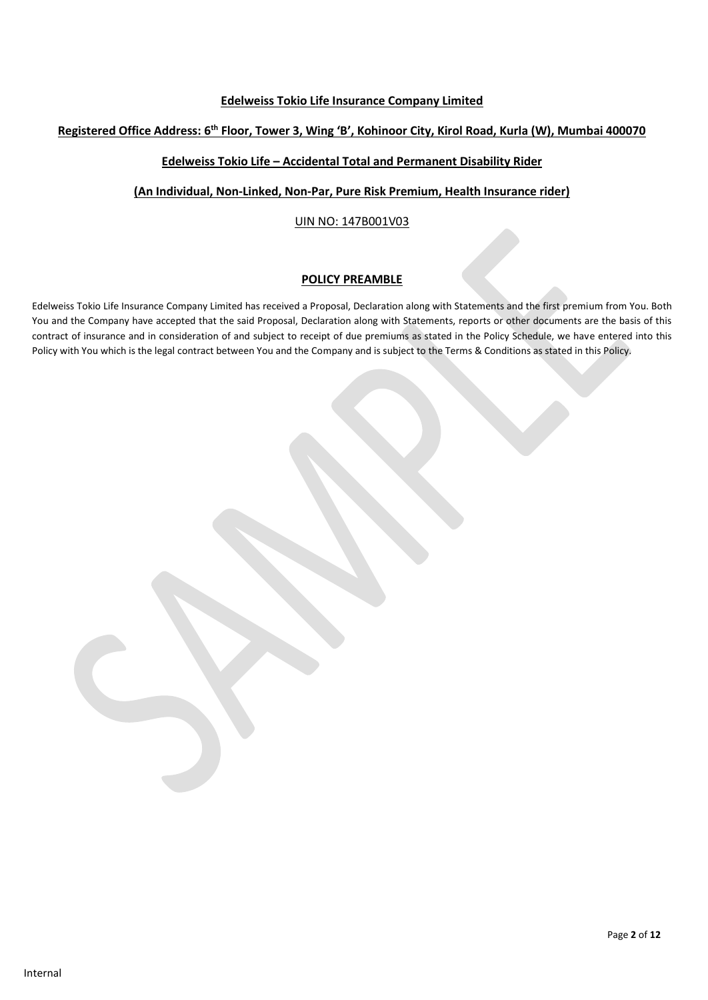## **Edelweiss Tokio Life Insurance Company Limited**

## **Registered Office Address: 6 th Floor, Tower 3, Wing 'B', Kohinoor City, Kirol Road, Kurla (W), Mumbai 400070**

## **Edelweiss Tokio Life – Accidental Total and Permanent Disability Rider**

**(An Individual, Non-Linked, Non-Par, Pure Risk Premium, Health Insurance rider)**

## UIN NO: 147B001V03

## **POLICY PREAMBLE**

Edelweiss Tokio Life Insurance Company Limited has received a Proposal, Declaration along with Statements and the first premium from You. Both You and the Company have accepted that the said Proposal, Declaration along with Statements, reports or other documents are the basis of this contract of insurance and in consideration of and subject to receipt of due premiums as stated in the Policy Schedule, we have entered into this Policy with You which is the legal contract between You and the Company and is subject to the Terms & Conditions as stated in this Policy.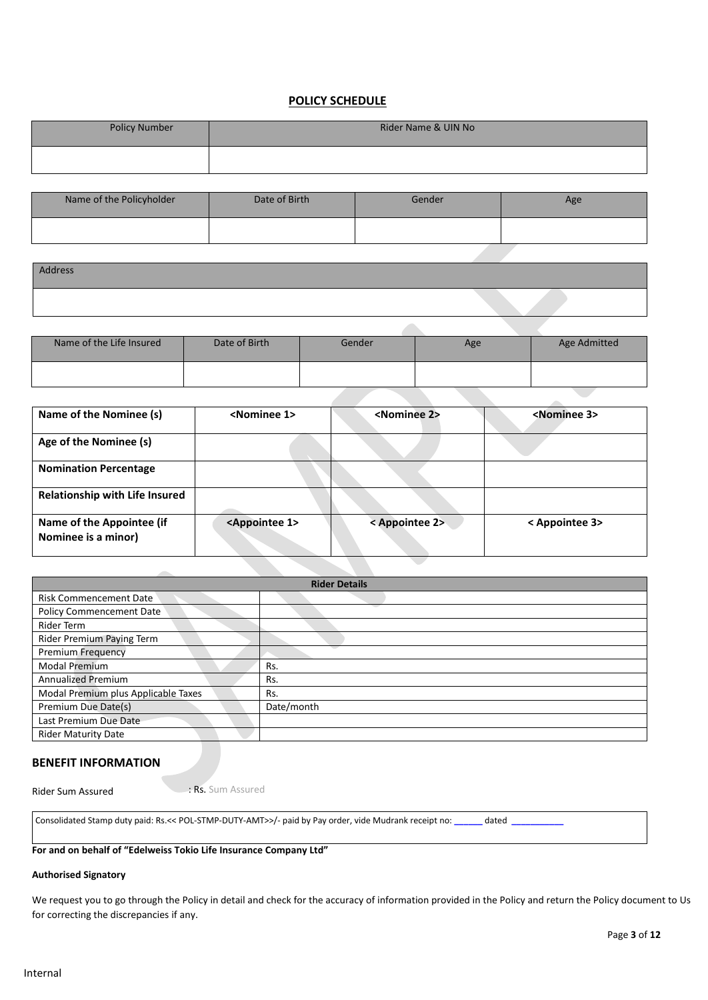## **POLICY SCHEDULE**

| <b>Policy Number</b> | Rider Name & UIN No |
|----------------------|---------------------|
|                      |                     |

| Name of the Policyholder | Date of Birth | Gender | Age |
|--------------------------|---------------|--------|-----|
|                          |               |        |     |

| Address |  |
|---------|--|
|         |  |

| Name of the Life Insured | Date of Birth | Gender | Age | Age Admitted |
|--------------------------|---------------|--------|-----|--------------|
|                          |               |        |     |              |

 $\overline{\mathcal{L}}$ 

| Name of the Nominee (s)                          | <nominee 1=""></nominee>     | <nominee 2=""></nominee> | <nominee 3=""></nominee> |
|--------------------------------------------------|------------------------------|--------------------------|--------------------------|
| Age of the Nominee (s)                           |                              |                          |                          |
| <b>Nomination Percentage</b>                     |                              |                          |                          |
| <b>Relationship with Life Insured</b>            |                              |                          |                          |
| Name of the Appointee (if<br>Nominee is a minor) | <appointee 1=""></appointee> | < Appointee 2>           | < Appointee 3>           |

| <b>Rider Details</b>                |            |  |
|-------------------------------------|------------|--|
| <b>Risk Commencement Date</b>       |            |  |
| <b>Policy Commencement Date</b>     |            |  |
| Rider Term                          |            |  |
| Rider Premium Paying Term           |            |  |
| <b>Premium Frequency</b>            |            |  |
| <b>Modal Premium</b>                | Rs.        |  |
| <b>Annualized Premium</b>           | Rs.        |  |
| Modal Premium plus Applicable Taxes | Rs.        |  |
| Premium Due Date(s)                 | Date/month |  |
| Last Premium Due Date               |            |  |
| <b>Rider Maturity Date</b>          |            |  |

## **BENEFIT INFORMATION**

Rider Sum Assured : Rs. Sum Assured

Consolidated Stamp duty paid: Rs.<< POL-STMP-DUTY-AMT>>/- paid by Pay order, vide Mudrank receipt no: **\_\_\_\_\_\_** dated **\_\_\_\_\_\_\_\_\_\_\_**

## **For and on behalf of "Edelweiss Tokio Life Insurance Company Ltd"**

## **Authorised Signatory**

We request you to go through the Policy in detail and check for the accuracy of information provided in the Policy and return the Policy document to Us for correcting the discrepancies if any.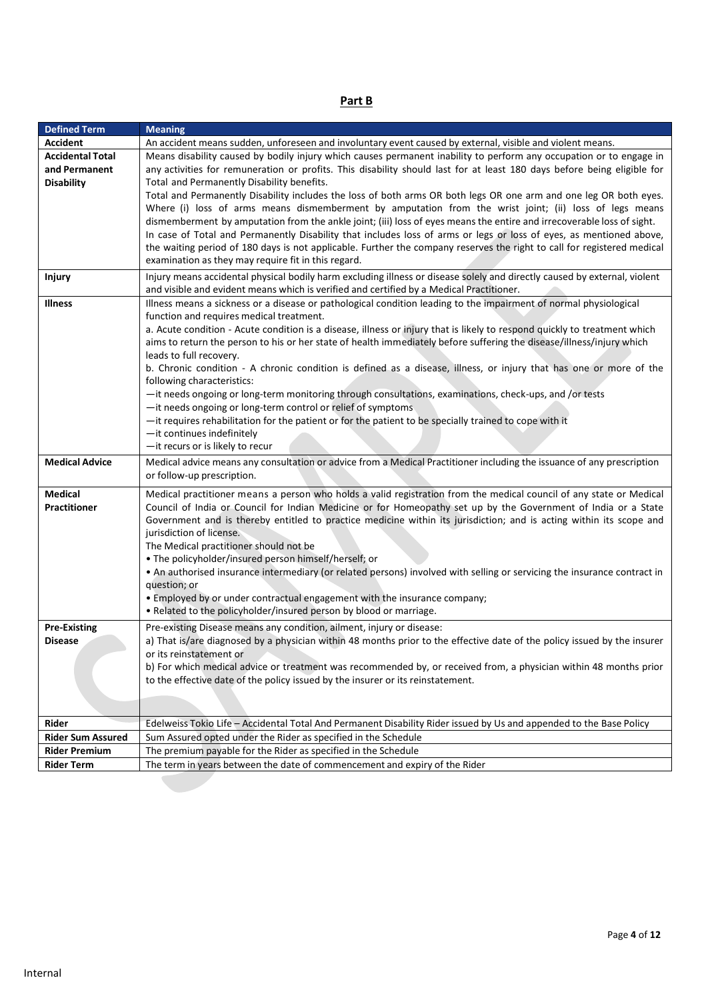| ۰. |  |
|----|--|
|    |  |

| <b>Defined Term</b>                                           | <b>Meaning</b>                                                                                                                                                                                                                                                                                                                                                                                                                                                                                                                                                                                                                                                                                                                                                                                                                                                                                                                                             |
|---------------------------------------------------------------|------------------------------------------------------------------------------------------------------------------------------------------------------------------------------------------------------------------------------------------------------------------------------------------------------------------------------------------------------------------------------------------------------------------------------------------------------------------------------------------------------------------------------------------------------------------------------------------------------------------------------------------------------------------------------------------------------------------------------------------------------------------------------------------------------------------------------------------------------------------------------------------------------------------------------------------------------------|
| <b>Accident</b>                                               | An accident means sudden, unforeseen and involuntary event caused by external, visible and violent means.                                                                                                                                                                                                                                                                                                                                                                                                                                                                                                                                                                                                                                                                                                                                                                                                                                                  |
| <b>Accidental Total</b><br>and Permanent<br><b>Disability</b> | Means disability caused by bodily injury which causes permanent inability to perform any occupation or to engage in<br>any activities for remuneration or profits. This disability should last for at least 180 days before being eligible for<br>Total and Permanently Disability benefits.                                                                                                                                                                                                                                                                                                                                                                                                                                                                                                                                                                                                                                                               |
|                                                               | Total and Permanently Disability includes the loss of both arms OR both legs OR one arm and one leg OR both eyes.<br>Where (i) loss of arms means dismemberment by amputation from the wrist joint; (ii) loss of legs means<br>dismemberment by amputation from the ankle joint; (iii) loss of eyes means the entire and irrecoverable loss of sight.<br>In case of Total and Permanently Disability that includes loss of arms or legs or loss of eyes, as mentioned above,<br>the waiting period of 180 days is not applicable. Further the company reserves the right to call for registered medical<br>examination as they may require fit in this regard.                                                                                                                                                                                                                                                                                             |
| <b>Injury</b>                                                 | Injury means accidental physical bodily harm excluding illness or disease solely and directly caused by external, violent<br>and visible and evident means which is verified and certified by a Medical Practitioner.                                                                                                                                                                                                                                                                                                                                                                                                                                                                                                                                                                                                                                                                                                                                      |
| <b>Illness</b>                                                | Illness means a sickness or a disease or pathological condition leading to the impairment of normal physiological<br>function and requires medical treatment.<br>a. Acute condition - Acute condition is a disease, illness or injury that is likely to respond quickly to treatment which<br>aims to return the person to his or her state of health immediately before suffering the disease/illness/injury which<br>leads to full recovery.<br>b. Chronic condition - A chronic condition is defined as a disease, illness, or injury that has one or more of the<br>following characteristics:<br>-it needs ongoing or long-term monitoring through consultations, examinations, check-ups, and /or tests<br>-it needs ongoing or long-term control or relief of symptoms<br>- it requires rehabilitation for the patient or for the patient to be specially trained to cope with it<br>-it continues indefinitely<br>-it recurs or is likely to recur |
| <b>Medical Advice</b>                                         | Medical advice means any consultation or advice from a Medical Practitioner including the issuance of any prescription<br>or follow-up prescription.                                                                                                                                                                                                                                                                                                                                                                                                                                                                                                                                                                                                                                                                                                                                                                                                       |
| <b>Medical</b><br><b>Practitioner</b>                         | Medical practitioner means a person who holds a valid registration from the medical council of any state or Medical<br>Council of India or Council for Indian Medicine or for Homeopathy set up by the Government of India or a State<br>Government and is thereby entitled to practice medicine within its jurisdiction; and is acting within its scope and<br>jurisdiction of license.<br>The Medical practitioner should not be<br>. The policyholder/insured person himself/herself; or<br>. An authorised insurance intermediary (or related persons) involved with selling or servicing the insurance contract in<br>question; or<br>. Employed by or under contractual engagement with the insurance company;<br>. Related to the policyholder/insured person by blood or marriage.                                                                                                                                                                 |
| <b>Pre-Existing</b><br><b>Disease</b>                         | Pre-existing Disease means any condition, ailment, injury or disease:<br>a) That is/are diagnosed by a physician within 48 months prior to the effective date of the policy issued by the insurer<br>or its reinstatement or<br>b) For which medical advice or treatment was recommended by, or received from, a physician within 48 months prior<br>to the effective date of the policy issued by the insurer or its reinstatement.                                                                                                                                                                                                                                                                                                                                                                                                                                                                                                                       |
| Rider                                                         | Edelweiss Tokio Life - Accidental Total And Permanent Disability Rider issued by Us and appended to the Base Policy                                                                                                                                                                                                                                                                                                                                                                                                                                                                                                                                                                                                                                                                                                                                                                                                                                        |
| <b>Rider Sum Assured</b>                                      | Sum Assured opted under the Rider as specified in the Schedule                                                                                                                                                                                                                                                                                                                                                                                                                                                                                                                                                                                                                                                                                                                                                                                                                                                                                             |
| <b>Rider Premium</b>                                          | The premium payable for the Rider as specified in the Schedule                                                                                                                                                                                                                                                                                                                                                                                                                                                                                                                                                                                                                                                                                                                                                                                                                                                                                             |
| <b>Rider Term</b>                                             | The term in years between the date of commencement and expiry of the Rider                                                                                                                                                                                                                                                                                                                                                                                                                                                                                                                                                                                                                                                                                                                                                                                                                                                                                 |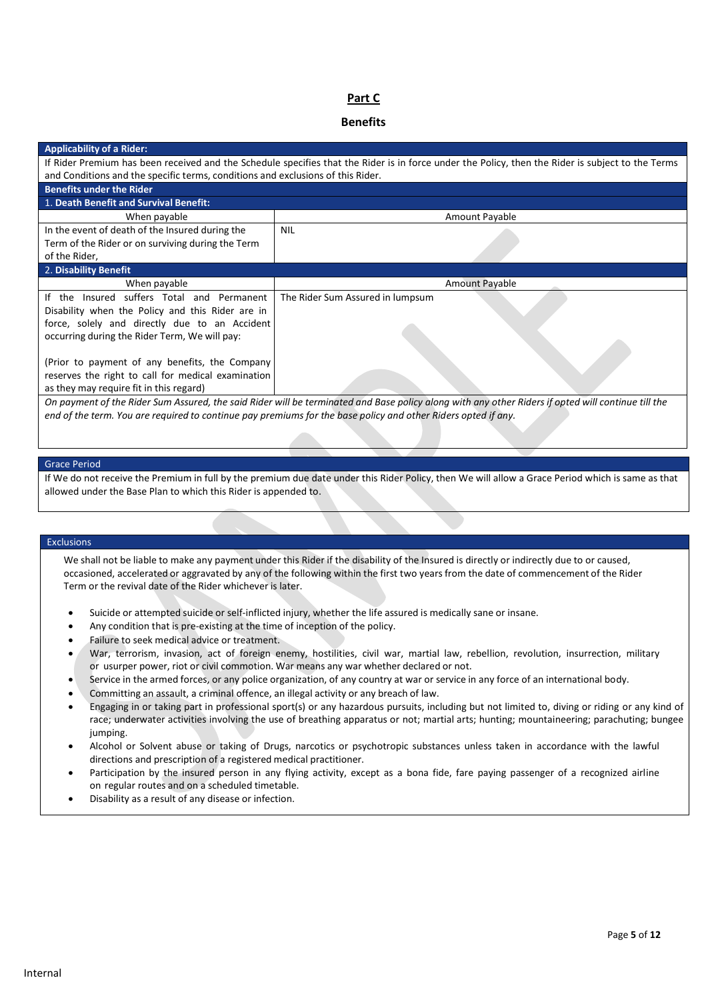## **Part C**

### **Benefits**

| <b>Applicability of a Rider:</b>                                                                                                                  |                                  |  |
|---------------------------------------------------------------------------------------------------------------------------------------------------|----------------------------------|--|
| If Rider Premium has been received and the Schedule specifies that the Rider is in force under the Policy, then the Rider is subject to the Terms |                                  |  |
| and Conditions and the specific terms, conditions and exclusions of this Rider.                                                                   |                                  |  |
| <b>Benefits under the Rider</b>                                                                                                                   |                                  |  |
| 1. Death Benefit and Survival Benefit:                                                                                                            |                                  |  |
| When payable                                                                                                                                      | Amount Payable                   |  |
| In the event of death of the Insured during the                                                                                                   | <b>NIL</b>                       |  |
| Term of the Rider or on surviving during the Term                                                                                                 |                                  |  |
| of the Rider,                                                                                                                                     |                                  |  |
| 2. Disability Benefit                                                                                                                             |                                  |  |
| When payable                                                                                                                                      | Amount Payable                   |  |
| If the Insured suffers Total and Permanent                                                                                                        | The Rider Sum Assured in lumpsum |  |
| Disability when the Policy and this Rider are in                                                                                                  |                                  |  |
| force, solely and directly due to an Accident                                                                                                     |                                  |  |
| occurring during the Rider Term, We will pay:                                                                                                     |                                  |  |
|                                                                                                                                                   |                                  |  |
| (Prior to payment of any benefits, the Company                                                                                                    |                                  |  |
| reserves the right to call for medical examination                                                                                                |                                  |  |
|                                                                                                                                                   |                                  |  |
| as they may require fit in this regard)                                                                                                           |                                  |  |

*end of the term. You are required to continue pay premiums for the base policy and other Riders opted if any.*

#### Grace Period

If We do not receive the Premium in full by the premium due date under this Rider Policy, then We will allow a Grace Period which is same as that allowed under the Base Plan to which this Rider is appended to.

#### Exclusions

We shall not be liable to make any payment under this Rider if the disability of the Insured is directly or indirectly due to or caused, occasioned, accelerated or aggravated by any of the following within the first two yearsfrom the date of commencement of the Rider Term or the revival date of the Rider whichever is later.

- Suicide or attempted suicide or self-inflicted injury, whether the life assured is medically sane or insane.
- Any condition that is pre-existing at the time of inception of the policy.
- Failure to seek medical advice or treatment.
- War, terrorism, invasion, act of foreign enemy, hostilities, civil war, martial law, rebellion, revolution, insurrection, military or usurper power, riot or civil commotion. War means any war whether declared or not.
- Service in the armed forces, or any police organization, of any country at war or service in any force of an international body.
- Committing an assault, a criminal offence, an illegal activity or any breach of law.
- Engaging in or taking part in professional sport(s) or any hazardous pursuits, including but not limited to, diving or riding or any kind of race; underwater activities involving the use of breathing apparatus or not; martial arts; hunting; mountaineering; parachuting; bungee jumping.
- Alcohol or Solvent abuse or taking of Drugs, narcotics or psychotropic substances unless taken in accordance with the lawful directions and prescription of a registered medical practitioner.
- Participation by the insured person in any flying activity, except as a bona fide, fare paying passenger of a recognized airline on regular routes and on a scheduled timetable.
- Disability as a result of any disease or infection.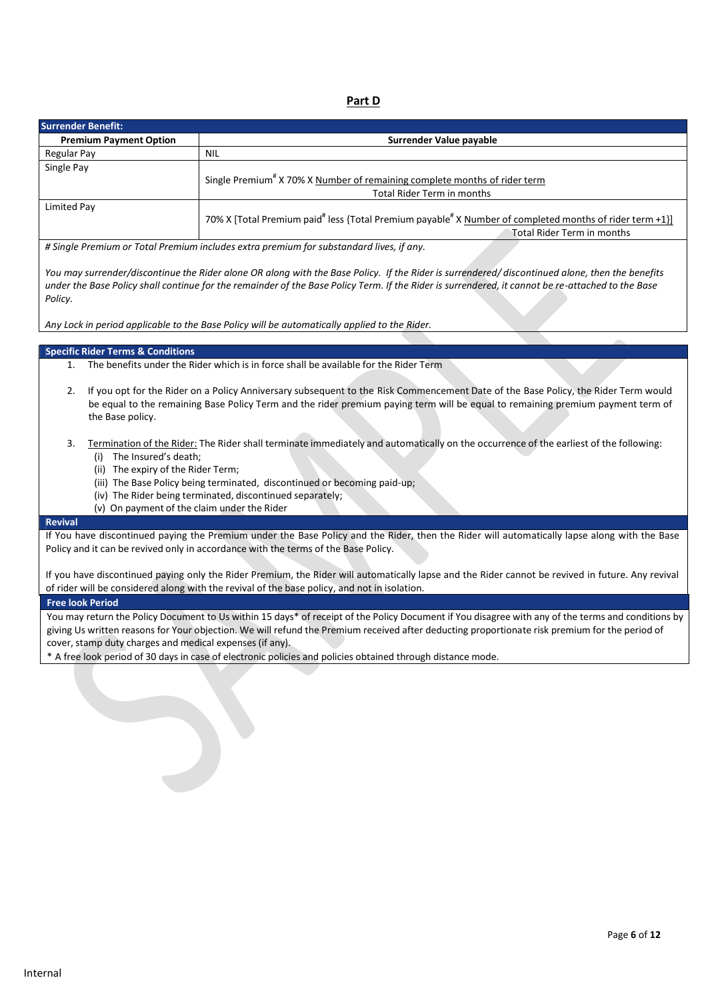**Part D**

| <b>Surrender Benefit:</b>     |                                                                                                                                       |
|-------------------------------|---------------------------------------------------------------------------------------------------------------------------------------|
| <b>Premium Payment Option</b> | Surrender Value payable                                                                                                               |
| Regular Pay                   | NIL                                                                                                                                   |
| Single Pay                    | Single Premium <sup>#</sup> X 70% X Number of remaining complete months of rider term<br>Total Rider Term in months                   |
| Limited Pay                   | 70% X [Total Premium paid" less {Total Premium payable" X Number of completed months of rider term +1}]<br>Total Rider Term in months |
|                               | H Sinale Premium or Total Premium includes extra premium for substandard lives if any                                                 |

*# Single Premium or Total Premium includes extra premium for substandard lives, if any.*

You may surrender/discontinue the Rider alone OR along with the Base Policy. If the Rider is surrendered/discontinued alone, then the benefits under the Base Policy shall continue for the remainder of the Base Policy Term. If the Rider is surrendered, it cannot be re-attached to the Base *Policy.*

*Any Lock in period applicable to the Base Policy will be automatically applied to the Rider.*

### **Specific Rider Terms & Conditions**

- 1. The benefits under the Rider which is in force shall be available for the Rider Term
- 2. If you opt for the Rider on a Policy Anniversary subsequent to the Risk Commencement Date of the Base Policy, the Rider Term would be equal to the remaining Base Policy Term and the rider premium paying term will be equal to remaining premium payment term of the Base policy.
- 3. Termination of the Rider: The Rider shall terminate immediately and automatically on the occurrence of the earliest of the following: (i) The Insured's death;
	- (ii) The expiry of the Rider Term;
	- (iii) The Base Policy being terminated, discontinued or becoming paid-up;
	- (iv) The Rider being terminated, discontinued separately;
	- (v) On payment of the claim under the Rider

### **Revival**

If You have discontinued paying the Premium under the Base Policy and the Rider, then the Rider will automatically lapse along with the Base Policy and it can be revived only in accordance with the terms of the Base Policy.

If you have discontinued paying only the Rider Premium, the Rider will automatically lapse and the Rider cannot be revived in future. Any revival of rider will be considered along with the revival of the base policy, and not in isolation.

### **Free look Period**

You may return the Policy Document to Us within 15 days\* of receipt of the Policy Document if You disagree with any of the terms and conditions by giving Us written reasons for Your objection. We will refund the Premium received after deducting proportionate risk premium for the period of cover, stamp duty charges and medical expenses (if any).

\* A free look period of 30 days in case of electronic policies and policies obtained through distance mode.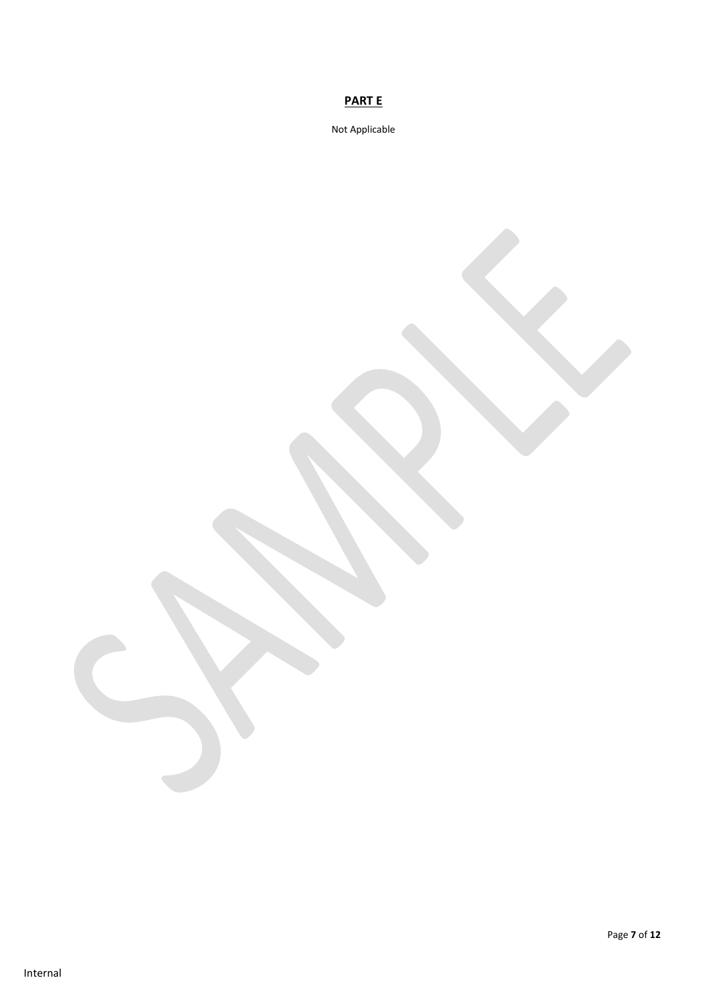# **PART E**

Not Applicable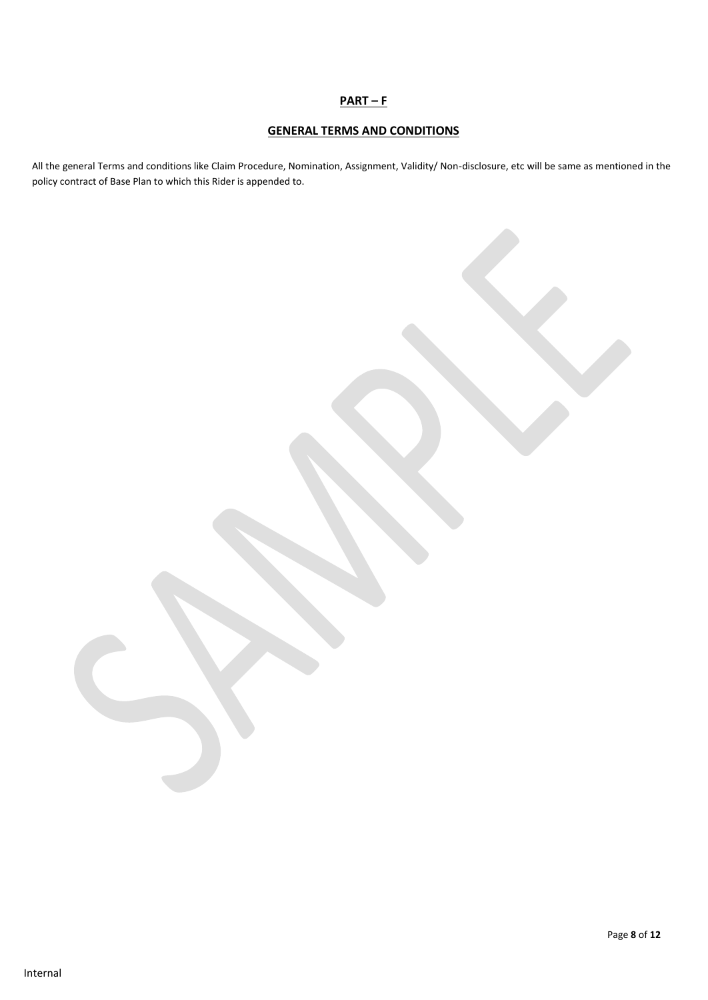## **PART – F**

## **GENERAL TERMS AND CONDITIONS**

All the general Terms and conditions like Claim Procedure, Nomination, Assignment, Validity/ Non-disclosure, etc will be same as mentioned in the policy contract of Base Plan to which this Rider is appended to.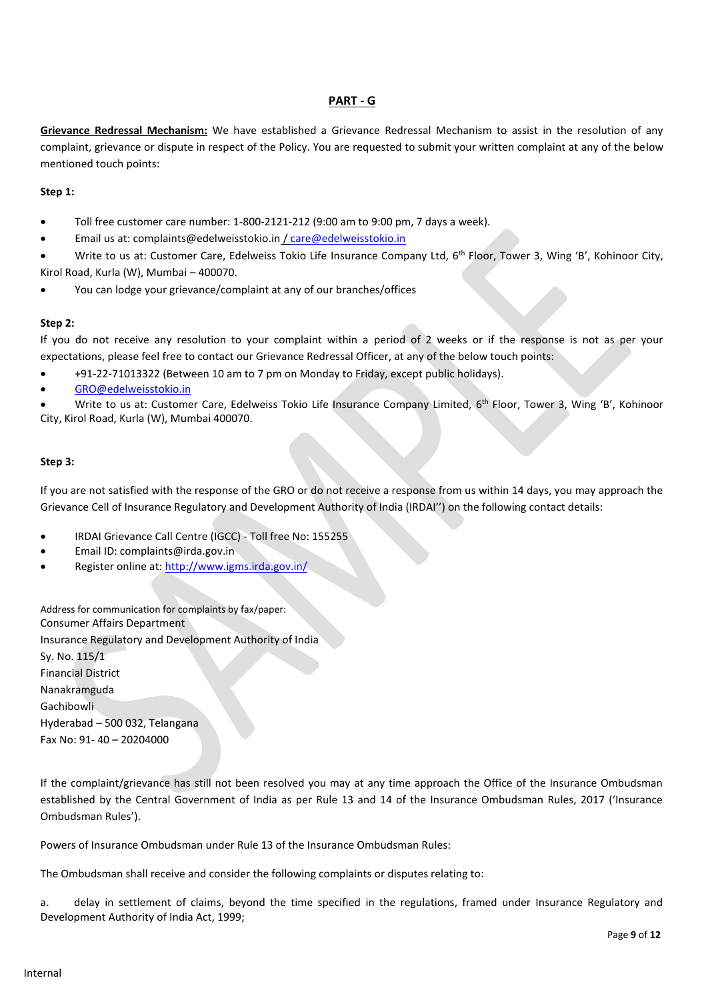## **PART - G**

**Grievance Redressal Mechanism:** We have established a Grievance Redressal Mechanism to assist in the resolution of any complaint, grievance or dispute in respect of the Policy. You are requested to submit your written complaint at any of the below mentioned touch points:

### **Step 1:**

- Toll free customer care number: 1-800-2121-212 (9:00 am to 9:00 pm, 7 days a week).
- Email us at: complaints@edelweisstokio.in [/ care@edelweisstokio.in](mailto:care@edelweisstokio.in)
- Write to us at: Customer Care, Edelweiss Tokio Life Insurance Company Ltd, 6<sup>th</sup> Floor, Tower 3, Wing 'B', Kohinoor City, Kirol Road, Kurla (W), Mumbai – 400070.
- You can lodge your grievance/complaint at any of our branches/offices

### **Step 2:**

If you do not receive any resolution to your complaint within a period of 2 weeks or if the response is not as per your expectations, please feel free to contact our Grievance Redressal Officer, at any of the below touch points:

- +91-22-71013322 (Between 10 am to 7 pm on Monday to Friday, except public holidays).
- [GRO@edelweisstokio.in](mailto:GRO@edelweisstokio.in)

• Write to us at: Customer Care, Edelweiss Tokio Life Insurance Company Limited, 6<sup>th</sup> Floor, Tower 3, Wing 'B', Kohinoor City, Kirol Road, Kurla (W), Mumbai 400070.

### **Step 3:**

If you are not satisfied with the response of the GRO or do not receive a response from us within 14 days, you may approach the Grievance Cell of Insurance Regulatory and Development Authority of India (IRDAI'') on the following contact details:

- IRDAI Grievance Call Centre (IGCC) Toll free No: 155255
- Email ID: complaints@irda.gov.in
- Register online at:<http://www.igms.irda.gov.in/>

Address for communication for complaints by fax/paper: Consumer Affairs Department Insurance Regulatory and Development Authority of India Sy. No. 115/1 Financial District Nanakramguda Gachibowli Hyderabad – 500 032, Telangana Fax No: 91- 40 – 20204000

If the complaint/grievance has still not been resolved you may at any time approach the Office of the Insurance Ombudsman established by the Central Government of India as per Rule 13 and 14 of the Insurance Ombudsman Rules, 2017 ('Insurance Ombudsman Rules').

Powers of Insurance Ombudsman under Rule 13 of the Insurance Ombudsman Rules:

The Ombudsman shall receive and consider the following complaints or disputes relating to:

a. delay in settlement of claims, beyond the time specified in the regulations, framed under Insurance Regulatory and Development Authority of India Act, 1999;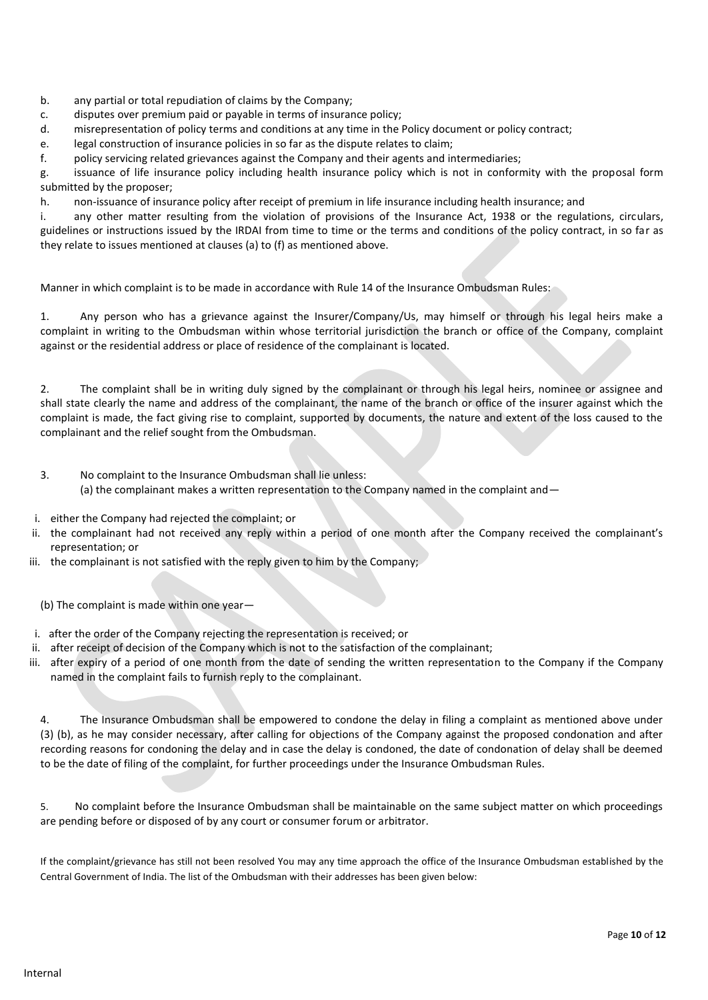- b. any partial or total repudiation of claims by the Company;
- c. disputes over premium paid or payable in terms of insurance policy;
- d. misrepresentation of policy terms and conditions at any time in the Policy document or policy contract;

e. legal construction of insurance policies in so far as the dispute relates to claim;

f. policy servicing related grievances against the Company and their agents and intermediaries;

g. issuance of life insurance policy including health insurance policy which is not in conformity with the proposal form submitted by the proposer;

h. non-issuance of insurance policy after receipt of premium in life insurance including health insurance; and

i. any other matter resulting from the violation of provisions of the Insurance Act, 1938 or the regulations, circulars, guidelines or instructions issued by the IRDAI from time to time or the terms and conditions of the policy contract, in so far as they relate to issues mentioned at clauses (a) to (f) as mentioned above.

Manner in which complaint is to be made in accordance with Rule 14 of the Insurance Ombudsman Rules:

1. Any person who has a grievance against the Insurer/Company/Us, may himself or through his legal heirs make a complaint in writing to the Ombudsman within whose territorial jurisdiction the branch or office of the Company, complaint against or the residential address or place of residence of the complainant is located.

2. The complaint shall be in writing duly signed by the complainant or through his legal heirs, nominee or assignee and shall state clearly the name and address of the complainant, the name of the branch or office of the insurer against which the complaint is made, the fact giving rise to complaint, supported by documents, the nature and extent of the loss caused to the complainant and the relief sought from the Ombudsman.

- 3. No complaint to the Insurance Ombudsman shall lie unless:
	- (a) the complainant makes a written representation to the Company named in the complaint and  $-$
- i. either the Company had rejected the complaint; or
- ii. the complainant had not received any reply within a period of one month after the Company received the complainant's representation; or
- iii. the complainant is not satisfied with the reply given to him by the Company;
	- (b) The complaint is made within one year—
- i. after the order of the Company rejecting the representation is received; or
- ii. after receipt of decision of the Company which is not to the satisfaction of the complainant;
- iii. after expiry of a period of one month from the date of sending the written representation to the Company if the Company named in the complaint fails to furnish reply to the complainant.

4. The Insurance Ombudsman shall be empowered to condone the delay in filing a complaint as mentioned above under (3) (b), as he may consider necessary, after calling for objections of the Company against the proposed condonation and after recording reasons for condoning the delay and in case the delay is condoned, the date of condonation of delay shall be deemed to be the date of filing of the complaint, for further proceedings under the Insurance Ombudsman Rules.

5. No complaint before the Insurance Ombudsman shall be maintainable on the same subject matter on which proceedings are pending before or disposed of by any court or consumer forum or arbitrator.

If the complaint/grievance has still not been resolved You may any time approach the office of the Insurance Ombudsman established by the Central Government of India. The list of the Ombudsman with their addresses has been given below: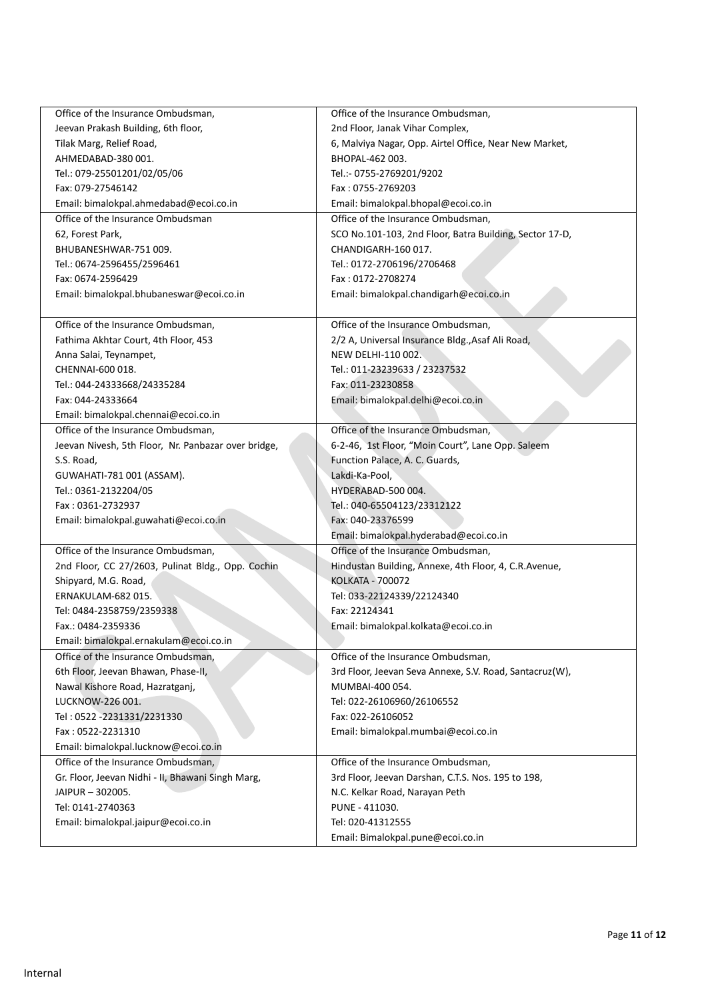| Office of the Insurance Ombudsman,                  | Office of the Insurance Ombudsman,                      |
|-----------------------------------------------------|---------------------------------------------------------|
| Jeevan Prakash Building, 6th floor,                 | 2nd Floor, Janak Vihar Complex,                         |
| Tilak Marg, Relief Road,                            | 6, Malviya Nagar, Opp. Airtel Office, Near New Market,  |
| AHMEDABAD-380 001.                                  | BHOPAL-462 003.                                         |
| Tel.: 079-25501201/02/05/06                         | Tel.:- 0755-2769201/9202                                |
| Fax: 079-27546142                                   | Fax: 0755-2769203                                       |
| Email: bimalokpal.ahmedabad@ecoi.co.in              | Email: bimalokpal.bhopal@ecoi.co.in                     |
| Office of the Insurance Ombudsman                   | Office of the Insurance Ombudsman,                      |
| 62, Forest Park,                                    | SCO No.101-103, 2nd Floor, Batra Building, Sector 17-D, |
| BHUBANESHWAR-751009.                                | CHANDIGARH-160 017.                                     |
| Tel.: 0674-2596455/2596461                          | Tel.: 0172-2706196/2706468                              |
| Fax: 0674-2596429                                   | Fax: 0172-2708274                                       |
| Email: bimalokpal.bhubaneswar@ecoi.co.in            | Email: bimalokpal.chandigarh@ecoi.co.in                 |
|                                                     |                                                         |
| Office of the Insurance Ombudsman,                  | Office of the Insurance Ombudsman,                      |
| Fathima Akhtar Court, 4th Floor, 453                | 2/2 A, Universal Insurance Bldg., Asaf Ali Road,        |
| Anna Salai, Teynampet,                              | NEW DELHI-110 002.                                      |
| CHENNAI-600 018.                                    | Tel.: 011-23239633 / 23237532                           |
| Tel.: 044-24333668/24335284                         | Fax: 011-23230858                                       |
| Fax: 044-24333664                                   | Email: bimalokpal.delhi@ecoi.co.in                      |
| Email: bimalokpal.chennai@ecoi.co.in                |                                                         |
| Office of the Insurance Ombudsman,                  | Office of the Insurance Ombudsman,                      |
| Jeevan Nivesh, 5th Floor, Nr. Panbazar over bridge, | 6-2-46, 1st Floor, "Moin Court", Lane Opp. Saleem       |
| S.S. Road,                                          | Function Palace, A. C. Guards,                          |
| GUWAHATI-781 001 (ASSAM).                           | Lakdi-Ka-Pool,                                          |
| Tel.: 0361-2132204/05                               | HYDERABAD-500 004.                                      |
| Fax: 0361-2732937                                   | Tel.: 040-65504123/23312122                             |
| Email: bimalokpal.guwahati@ecoi.co.in               | Fax: 040-23376599                                       |
|                                                     | Email: bimalokpal.hyderabad@ecoi.co.in                  |
| Office of the Insurance Ombudsman,                  | Office of the Insurance Ombudsman,                      |
|                                                     |                                                         |
| 2nd Floor, CC 27/2603, Pulinat Bldg., Opp. Cochin   | Hindustan Building, Annexe, 4th Floor, 4, C.R.Avenue,   |
| Shipyard, M.G. Road,                                | <b>KOLKATA - 700072</b>                                 |
| ERNAKULAM-682015.                                   | Tel: 033-22124339/22124340                              |
| Tel: 0484-2358759/2359338                           | Fax: 22124341                                           |
| Fax.: 0484-2359336                                  | Email: bimalokpal.kolkata@ecoi.co.in                    |
| Email: bimalokpal.ernakulam@ecoi.co.in              |                                                         |
| Office of the Insurance Ombudsman.                  | Office of the Insurance Ombudsman,                      |
| 6th Floor, Jeevan Bhawan, Phase-II,                 | 3rd Floor, Jeevan Seva Annexe, S.V. Road, Santacruz(W), |
| Nawal Kishore Road, Hazratganj,                     | MUMBAI-400 054.                                         |
| LUCKNOW-226 001.                                    | Tel: 022-26106960/26106552                              |
| Tel: 0522 -2231331/2231330                          | Fax: 022-26106052                                       |
| Fax: 0522-2231310                                   | Email: bimalokpal.mumbai@ecoi.co.in                     |
| Email: bimalokpal.lucknow@ecoi.co.in                |                                                         |
| Office of the Insurance Ombudsman,                  | Office of the Insurance Ombudsman,                      |
| Gr. Floor, Jeevan Nidhi - II, Bhawani Singh Marg,   | 3rd Floor, Jeevan Darshan, C.T.S. Nos. 195 to 198,      |
| JAIPUR - 302005.                                    | N.C. Kelkar Road, Narayan Peth                          |
| Tel: 0141-2740363                                   | PUNE - 411030.                                          |
| Email: bimalokpal.jaipur@ecoi.co.in                 | Tel: 020-41312555                                       |
|                                                     | Email: Bimalokpal.pune@ecoi.co.in                       |